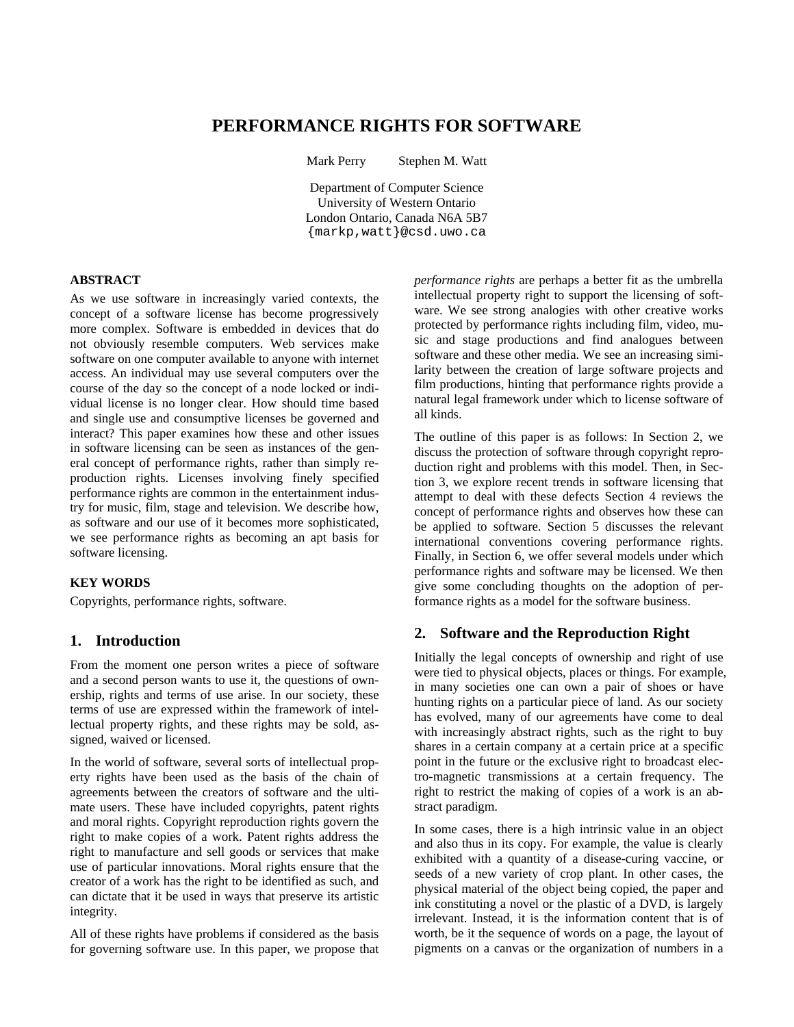# **PERFORMANCE RIGHTS FOR SOFTWARE**

Mark Perry Stephen M. Watt

Department of Computer Science University of Western Ontario London Ontario, Canada N6A 5B7 {markp,watt}@csd.uwo.ca

#### **ABSTRACT**

As we use software in increasingly varied contexts, the concept of a software license has become progressively more complex. Software is embedded in devices that do not obviously resemble computers. Web services make software on one computer available to anyone with internet access. An individual may use several computers over the course of the day so the concept of a node locked or individual license is no longer clear. How should time based and single use and consumptive licenses be governed and interact? This paper examines how these and other issues in software licensing can be seen as instances of the general concept of performance rights, rather than simply reproduction rights. Licenses involving finely specified performance rights are common in the entertainment industry for music, film, stage and television. We describe how, as software and our use of it becomes more sophisticated, we see performance rights as becoming an apt basis for software licensing.

#### **KEY WORDS**

Copyrights, performance rights, software.

## **1. Introduction**

From the moment one person writes a piece of software and a second person wants to use it, the questions of ownership, rights and terms of use arise. In our society, these terms of use are expressed within the framework of intellectual property rights, and these rights may be sold, assigned, waived or licensed.

In the world of software, several sorts of intellectual property rights have been used as the basis of the chain of agreements between the creators of software and the ultimate users. These have included copyrights, patent rights and moral rights. Copyright reproduction rights govern the right to make copies of a work. Patent rights address the right to manufacture and sell goods or services that make use of particular innovations. Moral rights ensure that the creator of a work has the right to be identified as such, and can dictate that it be used in ways that preserve its artistic integrity.

All of these rights have problems if considered as the basis for governing software use. In this paper, we propose that *performance rights* are perhaps a better fit as the umbrella intellectual property right to support the licensing of software. We see strong analogies with other creative works protected by performance rights including film, video, music and stage productions and find analogues between software and these other media. We see an increasing similarity between the creation of large software projects and film productions, hinting that performance rights provide a natural legal framework under which to license software of all kinds.

The outline of this paper is as follows: In Section 2, we discuss the protection of software through copyright reproduction right and problems with this model. Then, in Section 3, we explore recent trends in software licensing that attempt to deal with these defects Section 4 reviews the concept of performance rights and observes how these can be applied to software. Section 5 discusses the relevant international conventions covering performance rights. Finally, in Section 6, we offer several models under which performance rights and software may be licensed. We then give some concluding thoughts on the adoption of performance rights as a model for the software business.

### **2. Software and the Reproduction Right**

Initially the legal concepts of ownership and right of use were tied to physical objects, places or things. For example, in many societies one can own a pair of shoes or have hunting rights on a particular piece of land. As our society has evolved, many of our agreements have come to deal with increasingly abstract rights, such as the right to buy shares in a certain company at a certain price at a specific point in the future or the exclusive right to broadcast electro-magnetic transmissions at a certain frequency. The right to restrict the making of copies of a work is an abstract paradigm.

In some cases, there is a high intrinsic value in an object and also thus in its copy. For example, the value is clearly exhibited with a quantity of a disease-curing vaccine, or seeds of a new variety of crop plant. In other cases, the physical material of the object being copied, the paper and ink constituting a novel or the plastic of a DVD, is largely irrelevant. Instead, it is the information content that is of worth, be it the sequence of words on a page, the layout of pigments on a canvas or the organization of numbers in a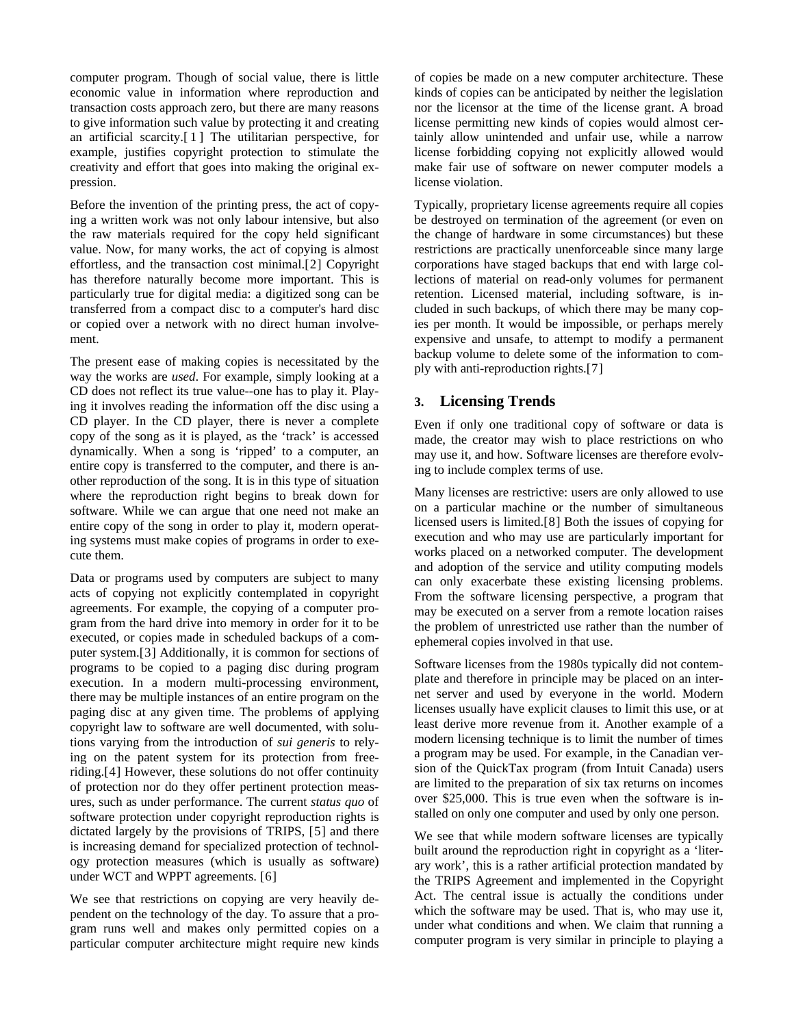computer program. Though of social value, there is little economic value in information where reproduction and transaction costs approach zero, but there are many reasons to give information such value by protecting it and creating an artificial scarcity. $[1]$  $[1]$  $[1]$  The utilitarian perspective, for example, justifies copyright protection to stimulate the creativity and effort that goes into making the original expression.

Before the invention of the printing press, the act of copying a written work was not only labour intensive, but also the raw materials required for the copy held significant value. Now, for many works, the act of copying is almost effortless, and the transaction cost minimal.[[2](#page-5-1)] Copyright has therefore naturally become more important. This is particularly true for digital media: a digitized song can be transferred from a compact disc to a computer's hard disc or copied over a network with no direct human involvement.

The present ease of making copies is necessitated by the way the works are *used*. For example, simply looking at a CD does not reflect its true value--one has to play it. Playing it involves reading the information off the disc using a CD player. In the CD player, there is never a complete copy of the song as it is played, as the 'track' is accessed dynamically. When a song is 'ripped' to a computer, an entire copy is transferred to the computer, and there is another reproduction of the song. It is in this type of situation where the reproduction right begins to break down for software. While we can argue that one need not make an entire copy of the song in order to play it, modern operating systems must make copies of programs in order to execute them.

Data or programs used by computers are subject to many acts of copying not explicitly contemplated in copyright agreements. For example, the copying of a computer program from the hard drive into memory in order for it to be executed, or copies made in scheduled backups of a computer system.[[3](#page-5-1)] Additionally, it is common for sections of programs to be copied to a paging disc during program execution. In a modern multi-processing environment, there may be multiple instances of an entire program on the paging disc at any given time. The problems of applying copyright law to software are well documented, with solutions varying from the introduction of *sui generis* to relying on the patent system for its protection from freeriding.[[4](#page-5-1)] However, these solutions do not offer continuity of protection nor do they offer pertinent protection measures, such as under performance. The current *status quo* of software protection under copyright reproduction rights is dictated largely by the provisions of TRIPS, [[5](#page-5-1)] and there is increasing demand for specialized protection of technology protection measures (which is usually as software) under WCT and WPPT agreements. [[6](#page-5-1)]

We see that restrictions on copying are very heavily dependent on the technology of the day. To assure that a program runs well and makes only permitted copies on a particular computer architecture might require new kinds of copies be made on a new computer architecture. These kinds of copies can be anticipated by neither the legislation nor the licensor at the time of the license grant. A broad license permitting new kinds of copies would almost certainly allow unintended and unfair use, while a narrow license forbidding copying not explicitly allowed would make fair use of software on newer computer models a license violation.

Typically, proprietary license agreements require all copies be destroyed on termination of the agreement (or even on the change of hardware in some circumstances) but these restrictions are practically unenforceable since many large corporations have staged backups that end with large collections of material on read-only volumes for permanent retention. Licensed material, including software, is included in such backups, of which there may be many copies per month. It would be impossible, or perhaps merely expensive and unsafe, to attempt to modify a permanent backup volume to delete some of the information to comply with anti-reproduction rights.[[7](#page-5-1)]

# **3. Licensing Trends**

Even if only one traditional copy of software or data is made, the creator may wish to place restrictions on who may use it, and how. Software licenses are therefore evolving to include complex terms of use.

Many licenses are restrictive: users are only allowed to use on a particular machine or the number of simultaneous licensed users is limited.[[8](#page-5-1)] Both the issues of copying for execution and who may use are particularly important for works placed on a networked computer. The development and adoption of the service and utility computing models can only exacerbate these existing licensing problems. From the software licensing perspective, a program that may be executed on a server from a remote location raises the problem of unrestricted use rather than the number of ephemeral copies involved in that use.

Software licenses from the 1980s typically did not contemplate and therefore in principle may be placed on an internet server and used by everyone in the world. Modern licenses usually have explicit clauses to limit this use, or at least derive more revenue from it. Another example of a modern licensing technique is to limit the number of times a program may be used. For example, in the Canadian version of the QuickTax program (from Intuit Canada) users are limited to the preparation of six tax returns on incomes over \$25,000. This is true even when the software is installed on only one computer and used by only one person.

We see that while modern software licenses are typically built around the reproduction right in copyright as a 'literary work', this is a rather artificial protection mandated by the TRIPS Agreement and implemented in the Copyright Act. The central issue is actually the conditions under which the software may be used. That is, who may use it, under what conditions and when. We claim that running a computer program is very similar in principle to playing a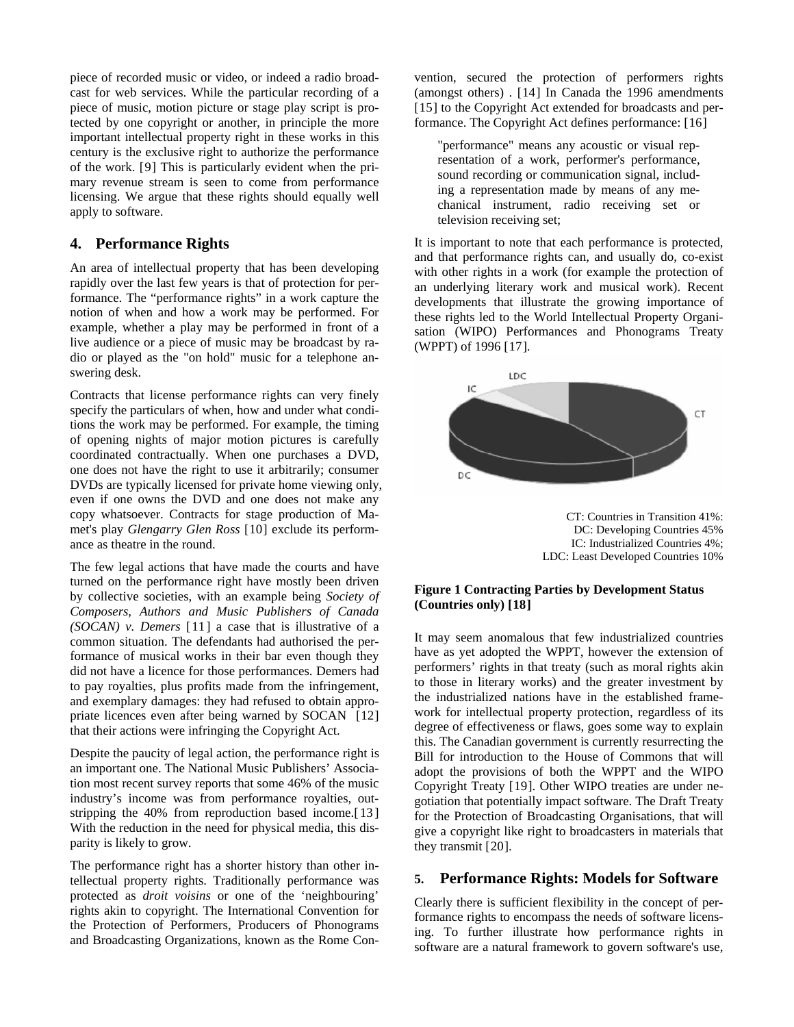piece of recorded music or video, or indeed a radio broadcast for web services. While the particular recording of a piece of music, motion picture or stage play script is protected by one copyright or another, in principle the more important intellectual property right in these works in this century is the exclusive right to authorize the performance of the work. [[9](#page-5-1)] This is particularly evident when the primary revenue stream is seen to come from performance licensing. We argue that these rights should equally well apply to software.

# **4. Performance Rights**

An area of intellectual property that has been developing rapidly over the last few years is that of protection for performance. The "performance rights" in a work capture the notion of when and how a work may be performed. For example, whether a play may be performed in front of a live audience or a piece of music may be broadcast by radio or played as the "on hold" music for a telephone answering desk.

Contracts that license performance rights can very finely specify the particulars of when, how and under what conditions the work may be performed. For example, the timing of opening nights of major motion pictures is carefully coordinated contractually. When one purchases a DVD, one does not have the right to use it arbitrarily; consumer DVDs are typically licensed for private home viewing only, even if one owns the DVD and one does not make any copy whatsoever. Contracts for stage production of Mamet's play *Glengarry Glen Ross* [[10](#page-5-1)] exclude its performance as theatre in the round.

The few legal actions that have made the courts and have turned on the performance right have mostly been driven by collective societies, with an example being *Society of Composers, Authors and Music Publishers of Canada (SOCAN) v. Demers* [[11](#page-5-1)] a case that is illustrative of a common situation. The defendants had authorised the performance of musical works in their bar even though they did not have a licence for those performances. Demers had to pay royalties, plus profits made from the infringement, and exemplary damages: they had refused to obtain appropriate licences even after being warned by SOCAN [[12](#page-5-1)] that their actions were infringing the Copyright Act.

Despite the paucity of legal action, the performance right is an important one. The National Music Publishers' Association most recent survey reports that some 46% of the music industry's income was from performance royalties, outstripping the 40% from reproduction based income.[[13](#page-5-1)] With the reduction in the need for physical media, this disparity is likely to grow.

The performance right has a shorter history than other intellectual property rights. Traditionally performance was protected as *droit voisins* or one of the 'neighbouring' rights akin to copyright. The International Convention for the Protection of Performers, Producers of Phonograms and Broadcasting Organizations, known as the Rome Con-

vention, secured the protection of performers rights (amongst others) . [[14](#page-5-1)] In Canada the 1996 amendments [[15](#page-5-1)] to the Copyright Act extended for broadcasts and performance. The Copyright Act defines performance: [[16](#page-5-1)]

"performance" means any acoustic or visual representation of a work, performer's performance, sound recording or communication signal, including a representation made by means of any mechanical instrument, radio receiving set or television receiving set;

It is important to note that each performance is protected, and that performance rights can, and usually do, co-exist with other rights in a work (for example the protection of an underlying literary work and musical work). Recent developments that illustrate the growing importance of these rights led to the World Intellectual Property Organisation (WIPO) Performances and Phonograms Treaty (WPPT) of 1996 [[17](#page-5-1)].



CT: Countries in Transition 41%: DC: Developing Countries 45% IC: Industrialized Countries 4%; LDC: Least Developed Countries 10%

### **Figure 1 Contracting Parties by Development Status (Countries only) [[18](#page-5-1)]**

It may seem anomalous that few industrialized countries have as yet adopted the WPPT, however the extension of performers' rights in that treaty (such as moral rights akin to those in literary works) and the greater investment by the industrialized nations have in the established framework for intellectual property protection, regardless of its degree of effectiveness or flaws, goes some way to explain this. The Canadian government is currently resurrecting the Bill for introduction to the House of Commons that will adopt the provisions of both the WPPT and the WIPO Copyright Treaty [[19](#page-5-1)]. Other WIPO treaties are under negotiation that potentially impact software. The Draft Treaty for the Protection of Broadcasting Organisations, that will give a copyright like right to broadcasters in materials that they transmit [[20](#page-5-1)].

## **5. Performance Rights: Models for Software**

Clearly there is sufficient flexibility in the concept of performance rights to encompass the needs of software licensing. To further illustrate how performance rights in software are a natural framework to govern software's use,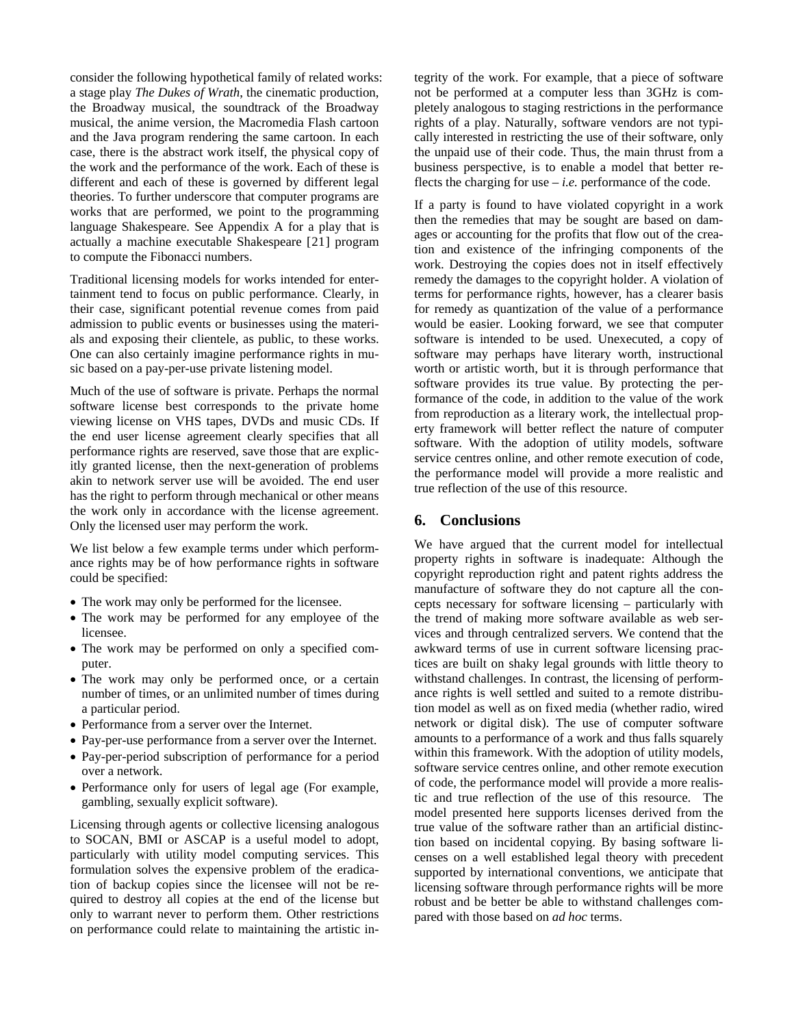consider the following hypothetical family of related works: a stage play *The Dukes of Wrath*, the cinematic production, the Broadway musical, the soundtrack of the Broadway musical, the anime version, the Macromedia Flash cartoon and the Java program rendering the same cartoon. In each case, there is the abstract work itself, the physical copy of the work and the performance of the work. Each of these is different and each of these is governed by different legal theories. To further underscore that computer programs are works that are performed, we point to the programming language Shakespeare. See Appendix A for a play that is actually a machine executable Shakespeare [[21](#page-5-1)] program to compute the Fibonacci numbers.

Traditional licensing models for works intended for entertainment tend to focus on public performance. Clearly, in their case, significant potential revenue comes from paid admission to public events or businesses using the materials and exposing their clientele, as public, to these works. One can also certainly imagine performance rights in music based on a pay-per-use private listening model.

Much of the use of software is private. Perhaps the normal software license best corresponds to the private home viewing license on VHS tapes, DVDs and music CDs. If the end user license agreement clearly specifies that all performance rights are reserved, save those that are explicitly granted license, then the next-generation of problems akin to network server use will be avoided. The end user has the right to perform through mechanical or other means the work only in accordance with the license agreement. Only the licensed user may perform the work.

We list below a few example terms under which performance rights may be of how performance rights in software could be specified:

- The work may only be performed for the licensee.
- The work may be performed for any employee of the licensee.
- The work may be performed on only a specified computer.
- The work may only be performed once, or a certain number of times, or an unlimited number of times during a particular period.
- Performance from a server over the Internet.
- Pay-per-use performance from a server over the Internet.
- Pay-per-period subscription of performance for a period over a network.
- Performance only for users of legal age (For example, gambling, sexually explicit software).

Licensing through agents or collective licensing analogous to SOCAN, BMI or ASCAP is a useful model to adopt, particularly with utility model computing services. This formulation solves the expensive problem of the eradication of backup copies since the licensee will not be required to destroy all copies at the end of the license but only to warrant never to perform them. Other restrictions on performance could relate to maintaining the artistic integrity of the work. For example, that a piece of software not be performed at a computer less than 3GHz is completely analogous to staging restrictions in the performance rights of a play. Naturally, software vendors are not typically interested in restricting the use of their software, only the unpaid use of their code. Thus, the main thrust from a business perspective, is to enable a model that better reflects the charging for use  $-i.e.$  performance of the code.

If a party is found to have violated copyright in a work then the remedies that may be sought are based on damages or accounting for the profits that flow out of the creation and existence of the infringing components of the work. Destroying the copies does not in itself effectively remedy the damages to the copyright holder. A violation of terms for performance rights, however, has a clearer basis for remedy as quantization of the value of a performance would be easier. Looking forward, we see that computer software is intended to be used. Unexecuted, a copy of software may perhaps have literary worth, instructional worth or artistic worth, but it is through performance that software provides its true value. By protecting the performance of the code, in addition to the value of the work from reproduction as a literary work, the intellectual property framework will better reflect the nature of computer software. With the adoption of utility models, software service centres online, and other remote execution of code, the performance model will provide a more realistic and true reflection of the use of this resource.

# **6. Conclusions**

We have argued that the current model for intellectual property rights in software is inadequate: Although the copyright reproduction right and patent rights address the manufacture of software they do not capture all the concepts necessary for software licensing – particularly with the trend of making more software available as web services and through centralized servers. We contend that the awkward terms of use in current software licensing practices are built on shaky legal grounds with little theory to withstand challenges. In contrast, the licensing of performance rights is well settled and suited to a remote distribution model as well as on fixed media (whether radio, wired network or digital disk). The use of computer software amounts to a performance of a work and thus falls squarely within this framework. With the adoption of utility models, software service centres online, and other remote execution of code, the performance model will provide a more realistic and true reflection of the use of this resource. The model presented here supports licenses derived from the true value of the software rather than an artificial distinction based on incidental copying. By basing software licenses on a well established legal theory with precedent supported by international conventions, we anticipate that licensing software through performance rights will be more robust and be better be able to withstand challenges compared with those based on *ad hoc* terms.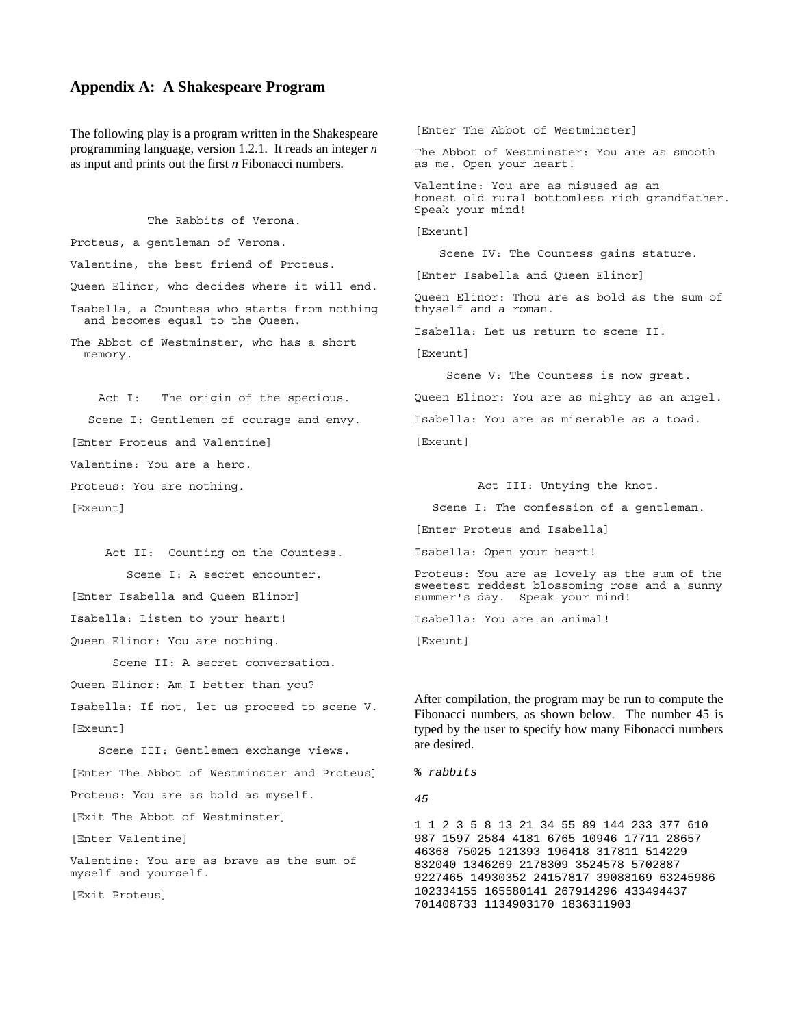#### **Appendix A: A Shakespeare Program**

The following play is a program written in the Shakespeare programming language, version 1.2.1. It reads an integer *n* as input and prints out the first *n* Fibonacci numbers.

The Rabbits of Verona.

Proteus, a gentleman of Verona.

Valentine, the best friend of Proteus.

Queen Elinor, who decides where it will end.

Isabella, a Countess who starts from nothing and becomes equal to the Queen.

The Abbot of Westminster, who has a short memory.

Act I: The origin of the specious. Scene I: Gentlemen of courage and envy. [Enter Proteus and Valentine] Valentine: You are a hero.

Proteus: You are nothing.

[Exeunt]

Act II: Counting on the Countess. Scene I: A secret encounter.

[Enter Isabella and Queen Elinor]

Isabella: Listen to your heart!

Queen Elinor: You are nothing.

Scene II: A secret conversation.

Queen Elinor: Am I better than you?

Isabella: If not, let us proceed to scene V. [Exeunt]

Scene III: Gentlemen exchange views. [Enter The Abbot of Westminster and Proteus] Proteus: You are as bold as myself. [Exit The Abbot of Westminster] [Enter Valentine] Valentine: You are as brave as the sum of myself and yourself.

[Exit Proteus]

[Enter The Abbot of Westminster] The Abbot of Westminster: You are as smooth as me. Open your heart! Valentine: You are as misused as an honest old rural bottomless rich grandfather. Speak your mind! [Exeunt] Scene IV: The Countess gains stature. [Enter Isabella and Queen Elinor] Queen Elinor: Thou are as bold as the sum of thyself and a roman. Isabella: Let us return to scene II. [Exeunt] Scene V: The Countess is now great. Queen Elinor: You are as mighty as an angel. Isabella: You are as miserable as a toad. [Exeunt] Act III: Untying the knot.

Scene I: The confession of a gentleman.

[Enter Proteus and Isabella]

Isabella: Open your heart!

Proteus: You are as lovely as the sum of the sweetest reddest blossoming rose and a sunny summer's day. Speak your mind!

Isabella: You are an animal!

[Exeunt]

After compilation, the program may be run to compute the Fibonacci numbers, as shown below. The number 45 is typed by the user to specify how many Fibonacci numbers are desired.

% *rabbits* 

*45* 

1 1 2 3 5 8 13 21 34 55 89 144 233 377 610 987 1597 2584 4181 6765 10946 17711 28657 46368 75025 121393 196418 317811 514229 832040 1346269 2178309 3524578 5702887 9227465 14930352 24157817 39088169 63245986 102334155 165580141 267914296 433494437 701408733 1134903170 1836311903